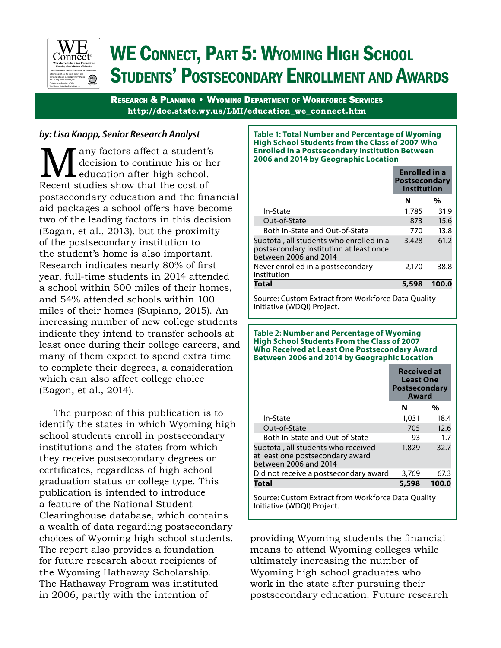

# WE CONNECT, PART 5: WYOMING HIGH SCHOOL Students' Postsecondary Enrollment and Awards

Research & Planning • Wyoming Department of Workforce Services **http://doe.state.wy.us/LMI/education\_we\_connect.htm**

## *by: Lisa Knapp, Senior Research Analyst*

**M** any factors affect a student's decision to continue his or he education after high school.<br>Recent studies show that the cost of decision to continue his or her education after high school. postsecondary education and the financial aid packages a school offers have become two of the leading factors in this decision (Eagan, et al., 2013), but the proximity of the postsecondary institution to the student's home is also important. Research indicates nearly 80% of first year, full-time students in 2014 attended a school within 500 miles of their homes, and 54% attended schools within 100 miles of their homes (Supiano, 2015). An increasing number of new college students indicate they intend to transfer schools at least once during their college careers, and many of them expect to spend extra time to complete their degrees, a consideration which can also affect college choice (Eagon, et al., 2014).

The purpose of this publication is to identify the states in which Wyoming high school students enroll in postsecondary institutions and the states from which they receive postsecondary degrees or certificates, regardless of high school graduation status or college type. This publication is intended to introduce a feature of the National Student Clearinghouse database, which contains a wealth of data regarding postsecondary choices of Wyoming high school students. The report also provides a foundation for future research about recipients of the Wyoming Hathaway Scholarship. The Hathaway Program was instituted in 2006, partly with the intention of

#### **Table 1: Total Number and Percentage of Wyoming High School Students from the Class of 2007 Who Enrolled in a Postsecondary Institution Between 2006 and 2014 by Geographic Location**

|                                                                                                              | <b>Enrolled</b> in a<br><b>Postsecondary</b><br><b>Institution</b> |       |
|--------------------------------------------------------------------------------------------------------------|--------------------------------------------------------------------|-------|
|                                                                                                              | N                                                                  | %     |
| In-State                                                                                                     | 1,785                                                              | 31.9  |
| Out-of-State                                                                                                 | 873                                                                | 15.6  |
| Both In-State and Out-of-State                                                                               | 770                                                                | 13.8  |
| Subtotal, all students who enrolled in a<br>postsecondary institution at least once<br>between 2006 and 2014 | 3,428                                                              | 61.2  |
| Never enrolled in a postsecondary<br>institution                                                             | 2,170                                                              | 38.8  |
| Total                                                                                                        | 5.598                                                              | 100.0 |

Source: Custom Extract from Workforce Data Quality Initiative (WDQI) Project.

#### **Table 2: Number and Percentage of Wyoming High School Students From the Class of 2007 Who Received at Least One Postsecondary Award Between 2006 and 2014 by Geographic Location**

|                                                                                                  | <b>Received at</b><br><b>Least One</b><br><b>Postsecondary</b><br>Award |       |
|--------------------------------------------------------------------------------------------------|-------------------------------------------------------------------------|-------|
|                                                                                                  | N                                                                       | %     |
| In-State                                                                                         | 1,031                                                                   | 18.4  |
| Out-of-State                                                                                     | 705                                                                     | 12.6  |
| Both In-State and Out-of-State                                                                   | 93                                                                      | 1.7   |
| Subtotal, all students who received<br>at least one postsecondary award<br>between 2006 and 2014 | 1,829                                                                   | 32.7  |
| Did not receive a postsecondary award                                                            | 3,769                                                                   | 67.3  |
| Total                                                                                            | 5,598                                                                   | 100.0 |
| Course: Custom Extrast from Warkforso Data Quality                                               |                                                                         |       |

Source: Custom Extract from Workforce Data Quality Initiative (WDQI) Project.

providing Wyoming students the financial means to attend Wyoming colleges while ultimately increasing the number of Wyoming high school graduates who work in the state after pursuing their postsecondary education. Future research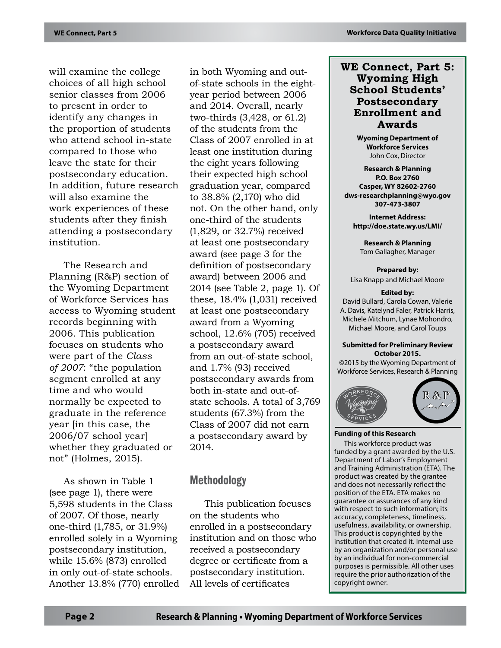will examine the college choices of all high school senior classes from 2006 to present in order to identify any changes in the proportion of students who attend school in-state compared to those who leave the state for their postsecondary education. In addition, future research will also examine the work experiences of these students after they finish attending a postsecondary institution.

The Research and Planning (R&P) section of the Wyoming Department of Workforce Services has access to Wyoming student records beginning with 2006. This publication focuses on students who were part of the *Class of 2007*: "the population segment enrolled at any time and who would normally be expected to graduate in the reference year [in this case, the 2006/07 school year] whether they graduated or not" (Holmes, 2015).

As shown in Table 1 (see page 1), there were 5,598 students in the Class of 2007. Of those, nearly one-third (1,785, or 31.9%) enrolled solely in a Wyoming postsecondary institution, while 15.6% (873) enrolled in only out-of-state schools. Another 13.8% (770) enrolled in both Wyoming and outof-state schools in the eightyear period between 2006 and 2014. Overall, nearly two-thirds (3,428, or 61.2) of the students from the Class of 2007 enrolled in at least one institution during the eight years following their expected high school graduation year, compared to 38.8% (2,170) who did not. On the other hand, only one-third of the students (1,829, or 32.7%) received at least one postsecondary award (see page 3 for the definition of postsecondary award) between 2006 and 2014 (see Table 2, page 1). Of these, 18.4% (1,031) received at least one postsecondary award from a Wyoming school, 12.6% (705) received a postsecondary award from an out-of-state school, and 1.7% (93) received postsecondary awards from both in-state and out-ofstate schools. A total of 3,769 students (67.3%) from the Class of 2007 did not earn a postsecondary award by 2014.

# Methodology

This publication focuses on the students who enrolled in a postsecondary institution and on those who received a postsecondary degree or certificate from a postsecondary institution. All levels of certificates

## **WE Connect, Part 5: Wyoming High School Students' Postsecondary Enrollment and Awards**

**Wyoming Department of Workforce Services** John Cox, Director

**Research & Planning P.O. Box 2760 Casper, WY 82602-2760 dws-researchplanning@wyo.gov 307-473-3807**

**Internet Address: http://doe.state.wy.us/LMI/**

**Research & Planning** Tom Gallagher, Manager

**Prepared by:** Lisa Knapp and Michael Moore

#### **Edited by:**

David Bullard, Carola Cowan, Valerie A. Davis, Katelynd Faler, Patrick Harris, Michele Mitchum, Lynae Mohondro, Michael Moore, and Carol Toups

#### **Submitted for Preliminary Review October 2015.**

©2015 by the Wyoming Department of Workforce Services, Research & Planning



#### **Funding of this Research**

This workforce product was funded by a grant awarded by the U.S. Department of Labor's Employment and Training Administration (ETA). The product was created by the grantee and does not necessarily reflect the position of the ETA. ETA makes no guarantee or assurances of any kind with respect to such information; its accuracy, completeness, timeliness, usefulness, availability, or ownership. This product is copyrighted by the institution that created it. Internal use by an organization and/or personal use by an individual for non-commercial purposes is permissible. All other uses require the prior authorization of the copyright owner.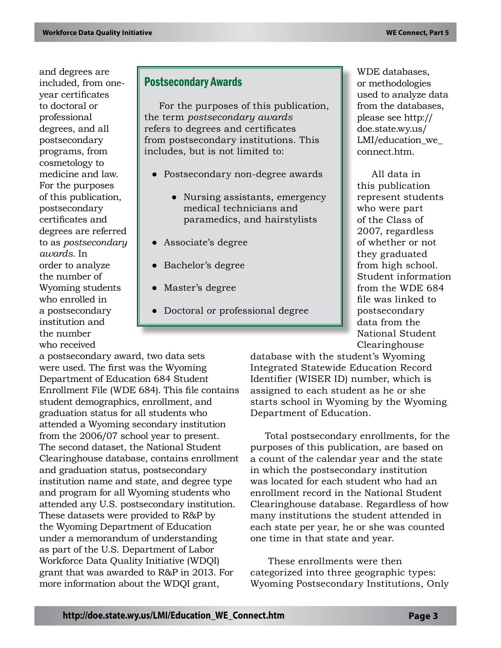and degrees are included, from oneyear certificates to doctoral or professional degrees, and all postsecondary programs, from cosmetology to medicine and law. For the purposes of this publication, postsecondary certificates and degrees are referred to as *postsecondary awards*. In order to analyze the number of Wyoming students who enrolled in a postsecondary institution and the number who received

# Postsecondary Awards

For the purposes of this publication, the term *postsecondary awards* refers to degrees and certificates from postsecondary institutions. This includes, but is not limited to:

- Postsecondary non-degree awards
	- Nursing assistants, emergency medical technicians and paramedics, and hairstylists
- Associate's degree
- Bachelor's degree
- Master's degree
- Doctoral or professional degree

a postsecondary award, two data sets were used. The first was the Wyoming Department of Education 684 Student Enrollment File (WDE 684). This file contains student demographics, enrollment, and graduation status for all students who attended a Wyoming secondary institution from the 2006/07 school year to present. The second dataset, the National Student Clearinghouse database, contains enrollment and graduation status, postsecondary institution name and state, and degree type and program for all Wyoming students who attended any U.S. postsecondary institution. These datasets were provided to R&P by the Wyoming Department of Education under a memorandum of understanding as part of the U.S. Department of Labor Workforce Data Quality Initiative (WDQI) grant that was awarded to R&P in 2013. For more information about the WDQI grant,

WDE databases, or methodologies used to analyze data from the databases, please see http:// doe.state.wy.us/ LMI/education\_we connect.htm.

All data in this publication represent students who were part of the Class of 2007, regardless of whether or not they graduated from high school. Student information from the WDE 684 file was linked to postsecondary data from the National Student Clearinghouse

database with the student's Wyoming Integrated Statewide Education Record Identifier (WISER ID) number, which is assigned to each student as he or she starts school in Wyoming by the Wyoming Department of Education.

Total postsecondary enrollments, for the purposes of this publication, are based on a count of the calendar year and the state in which the postsecondary institution was located for each student who had an enrollment record in the National Student Clearinghouse database. Regardless of how many institutions the student attended in each state per year, he or she was counted one time in that state and year.

 These enrollments were then categorized into three geographic types: Wyoming Postsecondary Institutions, Only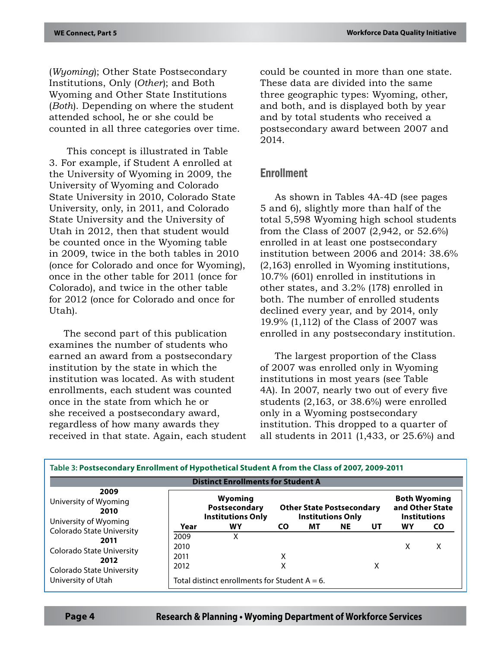(*Wyoming*); Other State Postsecondary Institutions, Only (*Other*); and Both Wyoming and Other State Institutions (*Both*). Depending on where the student attended school, he or she could be counted in all three categories over time.

 This concept is illustrated in Table 3. For example, if Student A enrolled at the University of Wyoming in 2009, the University of Wyoming and Colorado State University in 2010, Colorado State University, only, in 2011, and Colorado State University and the University of Utah in 2012, then that student would be counted once in the Wyoming table in 2009, twice in the both tables in 2010 (once for Colorado and once for Wyoming), once in the other table for 2011 (once for Colorado), and twice in the other table for 2012 (once for Colorado and once for Utah).

The second part of this publication examines the number of students who earned an award from a postsecondary institution by the state in which the institution was located. As with student enrollments, each student was counted once in the state from which he or she received a postsecondary award, regardless of how many awards they received in that state. Again, each student could be counted in more than one state. These data are divided into the same three geographic types: Wyoming, other, and both, and is displayed both by year and by total students who received a postsecondary award between 2007 and 2014.

## Enrollment

As shown in Tables 4A-4D (see pages 5 and 6), slightly more than half of the total 5,598 Wyoming high school students from the Class of 2007 (2,942, or 52.6%) enrolled in at least one postsecondary institution between 2006 and 2014: 38.6% (2,163) enrolled in Wyoming institutions, 10.7% (601) enrolled in institutions in other states, and 3.2% (178) enrolled in both. The number of enrolled students declined every year, and by 2014, only 19.9% (1,112) of the Class of 2007 was enrolled in any postsecondary institution.

The largest proportion of the Class of 2007 was enrolled only in Wyoming institutions in most years (see Table 4A). In 2007, nearly two out of every five students (2,163, or 38.6%) were enrolled only in a Wyoming postsecondary institution. This dropped to a quarter of all students in 2011 (1,433, or 25.6%) and

| Table 3: Postsecondary Enrollment of Hypothetical Student A from the Class of 2007, 2009-2011 |                              |                                                      |        |                                                              |           |    |    |                                                               |
|-----------------------------------------------------------------------------------------------|------------------------------|------------------------------------------------------|--------|--------------------------------------------------------------|-----------|----|----|---------------------------------------------------------------|
|                                                                                               |                              | <b>Distinct Enrollments for Student A</b>            |        |                                                              |           |    |    |                                                               |
| 2009<br>University of Wyoming<br>2010                                                         |                              | Wyoming<br>Postsecondary<br><b>Institutions Only</b> |        | <b>Other State Postsecondary</b><br><b>Institutions Only</b> |           |    |    | <b>Both Wyoming</b><br>and Other State<br><b>Institutions</b> |
| University of Wyoming<br>Colorado State University                                            | Year                         | WY                                                   | CO.    | мт                                                           | <b>NE</b> | UT | WY | <b>CO</b>                                                     |
| 2011<br>Colorado State University<br>2012                                                     | 2009<br>2010<br>2011<br>2012 | x                                                    | x<br>Χ |                                                              |           | х  | χ  | x                                                             |
| Colorado State University<br>University of Utah                                               |                              | Total distinct enrollments for Student $A = 6$ .     |        |                                                              |           |    |    |                                                               |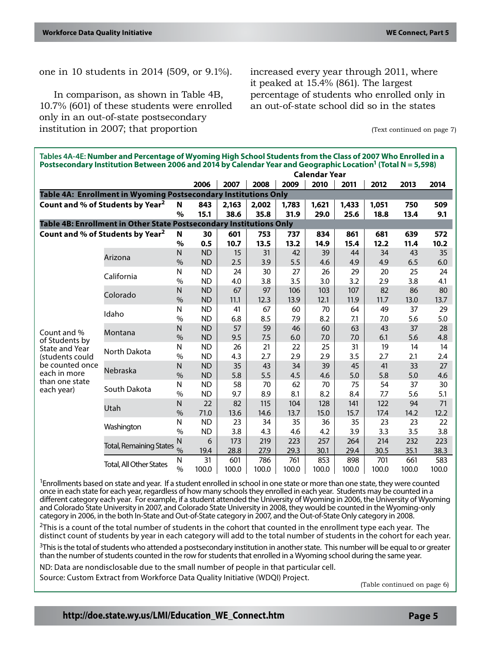one in 10 students in 2014 (509, or 9.1%).

In comparison, as shown in Table 4B, 10.7% (601) of these students were enrolled only in an out-of-state postsecondary institution in 2007; that proportion

increased every year through 2011, where it peaked at 15.4% (861). The largest percentage of students who enrolled only in an out-of-state school did so in the states

(Text continued on page 7)

| Tables 4A-4E: Number and Percentage of Wyoming High School Students from the Class of 2007 Who Enrolled in a<br>Postsecondary Institution Between 2006 and 2014 by Calendar Year and Geographic Location <sup>1</sup> (Total N = 5,598) |                                                                     |                      |                        |           |           |           |           |           |           |           |           |
|-----------------------------------------------------------------------------------------------------------------------------------------------------------------------------------------------------------------------------------------|---------------------------------------------------------------------|----------------------|------------------------|-----------|-----------|-----------|-----------|-----------|-----------|-----------|-----------|
|                                                                                                                                                                                                                                         |                                                                     | <b>Calendar Year</b> |                        |           |           |           |           |           |           |           |           |
|                                                                                                                                                                                                                                         |                                                                     |                      | 2006                   | 2007      | 2008      | 2009      | 2010      | 2011      | 2012      | 2013      | 2014      |
|                                                                                                                                                                                                                                         | Table 4A: Enrollment in Wyoming Postsecondary Institutions Only     |                      |                        |           |           |           |           |           |           |           |           |
|                                                                                                                                                                                                                                         | Count and % of Students by Year <sup>2</sup>                        | N                    | 843                    | 2,163     | 2,002     | 1,783     | 1,621     | 1,433     | 1,051     | 750       | 509       |
|                                                                                                                                                                                                                                         |                                                                     | $\%$                 | 15.1                   | 38.6      | 35.8      | 31.9      | 29.0      | 25.6      | 18.8      | 13.4      | 9.1       |
|                                                                                                                                                                                                                                         | Table 4B: Enrollment in Other State Postsecondary Institutions Only |                      |                        |           |           |           |           |           |           |           |           |
|                                                                                                                                                                                                                                         | Count and % of Students by Year <sup>2</sup>                        | N                    | 30                     | 601       | 753       | 737       | 834       | 861       | 681       | 639       | 572       |
|                                                                                                                                                                                                                                         |                                                                     | $\%$                 | 0.5                    | 10.7      | 13.5      | 13.2      | 14.9      | 15.4      | 12.2      | 11.4      | 10.2      |
|                                                                                                                                                                                                                                         | Arizona                                                             | N                    | <b>ND</b>              | 15        | 31        | 42        | 39        | 44        | 34        | 43        | 35        |
|                                                                                                                                                                                                                                         |                                                                     | $\frac{0}{0}$        | <b>ND</b>              | 2.5       | 3.9       | 5.5       | 4.6       | 4.9       | 4.9       | 6.5       | 6.0       |
|                                                                                                                                                                                                                                         | California                                                          | N                    | <b>ND</b>              | 24        | 30        | 27        | 26        | 29        | 20        | 25        | 24        |
|                                                                                                                                                                                                                                         |                                                                     | $\%$                 | <b>ND</b>              | 4.0       | 3.8       | 3.5       | 3.0       | 3.2       | 2.9       | 3.8       | 4.1       |
|                                                                                                                                                                                                                                         | Colorado                                                            | N                    | <b>ND</b>              | 67        | 97        | 106       | 103       | 107       | 82        | 86        | 80        |
|                                                                                                                                                                                                                                         |                                                                     | $\frac{0}{0}$        | <b>ND</b>              | 11.1      | 12.3      | 13.9      | 12.1      | 11.9      | 11.7      | 13.0      | 13.7      |
|                                                                                                                                                                                                                                         | Idaho<br>Montana<br>North Dakota<br>Nebraska                        | N                    | <b>ND</b>              | 41        | 67        | 60        | 70        | 64        | 49        | 37        | 29        |
|                                                                                                                                                                                                                                         |                                                                     | $\%$                 | <b>ND</b>              | 6.8       | 8.5       | 7.9       | 8.2       | 7.1       | 7.0       | 5.6       | 5.0       |
| Count and %                                                                                                                                                                                                                             |                                                                     | N                    | <b>ND</b>              | 57        | 59        | 46        | 60        | 63        | 43        | 37        | 28        |
| of Students by                                                                                                                                                                                                                          |                                                                     | $\frac{0}{0}$        | <b>ND</b>              | 9.5       | 7.5       | 6.0       | 7.0       | 7.0       | 6.1       | 5.6       | 4.8       |
| <b>State and Year</b>                                                                                                                                                                                                                   |                                                                     | N                    | <b>ND</b>              | 26        | 21        | 22        | 25        | 31        | 19        | 14        | 14        |
| (students could<br>be counted once<br>each in more                                                                                                                                                                                      |                                                                     | $\frac{0}{0}$        | <b>ND</b>              | 4.3       | 2.7       | 2.9       | 2.9       | 3.5       | 2.7       | 2.1       | 2.4       |
|                                                                                                                                                                                                                                         |                                                                     | N<br>$\frac{0}{0}$   | <b>ND</b>              | 35        | 43<br>5.5 | 34        | 39        | 45        | 41<br>5.8 | 33<br>5.0 | 27        |
| than one state                                                                                                                                                                                                                          |                                                                     | N                    | <b>ND</b><br><b>ND</b> | 5.8<br>58 | 70        | 4.5<br>62 | 4.6<br>70 | 5.0<br>75 | 54        | 37        | 4.6<br>30 |
| each year)                                                                                                                                                                                                                              | South Dakota                                                        | $\%$                 | <b>ND</b>              | 9.7       | 8.9       | 8.1       | 8.2       | 8.4       | 7.7       | 5.6       | 5.1       |
|                                                                                                                                                                                                                                         |                                                                     | N                    | 22                     | 82        | 115       | 104       | 128       | 141       | 122       | 94        | 71        |
|                                                                                                                                                                                                                                         | Utah                                                                | $\frac{0}{0}$        | 71.0                   | 13.6      | 14.6      | 13.7      | 15.0      | 15.7      | 17.4      | 14.2      | 12.2      |
|                                                                                                                                                                                                                                         |                                                                     | N                    | <b>ND</b>              | 23        | 34        | 35        | 36        | 35        | 23        | 23        | 22        |
|                                                                                                                                                                                                                                         | Washington                                                          | $\%$                 | <b>ND</b>              | 3.8       | 4.3       | 4.6       | 4.2       | 3.9       | 3.3       | 3.5       | 3.8       |
|                                                                                                                                                                                                                                         |                                                                     | N                    | 6                      | 173       | 219       | 223       | 257       | 264       | 214       | 232       | 223       |
|                                                                                                                                                                                                                                         | <b>Total, Remaining States</b>                                      | $\%$                 | 19.4                   | 28.8      | 27.9      | 29.3      | 30.1      | 29.4      | 30.5      | 35.1      | 38.3      |
|                                                                                                                                                                                                                                         |                                                                     | N                    | 31                     | 601       | 786       | 761       | 853       | 898       | 701       | 661       | 583       |
|                                                                                                                                                                                                                                         | <b>Total, All Other States</b>                                      | $\%$                 | 100.0                  | 100.0     | 100.0     | 100.0     | 100.0     | 100.0     | 100.0     | 100.0     | 100.0     |

<sup>1</sup>Enrollments based on state and year. If a student enrolled in school in one state or more than one state, they were counted once in each state for each year, regardless of how many schools they enrolled in each year. Students may be counted in a different category each year. For example, if a student attended the University of Wyoming in 2006, the University of Wyoming and Colorado State University in 2007, and Colorado State University in 2008, they would be counted in the Wyoming-only category in 2006, in the both In-State and Out-of-State category in 2007, and the Out-of-State Only category in 2008.

 $2$ This is a count of the total number of students in the cohort that counted in the enrollment type each year. The distinct count of students by year in each category will add to the total number of students in the cohort for each year.

<sup>3</sup>This is the total of students who attended a postsecondary institution in another state. This number will be equal to or greater than the number of students counted in the row for students that enrolled in a Wyoming school during the same year.

ND: Data are nondisclosable due to the small number of people in that particular cell.

Source: Custom Extract from Workforce Data Quality Initiative (WDQI) Project. (Table continued on page 6)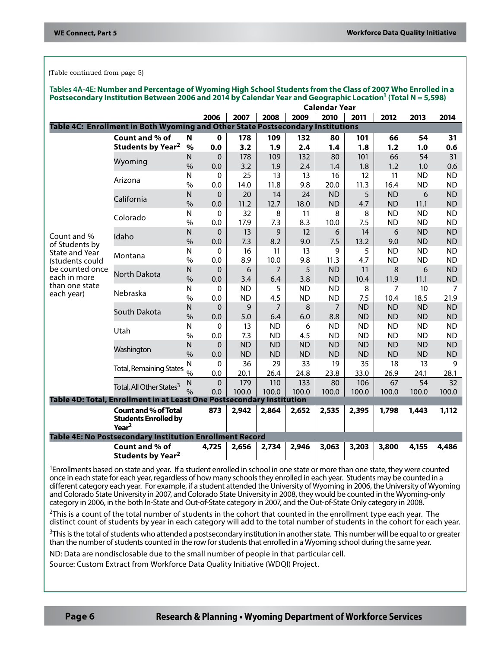(Table continued from page 5)

| Tables 4A-4E: Number and Percentage of Wyoming High School Students from the Class of 2007 Who Enrolled in a<br>Postsecondary Institution Between 2006 and 2014 by Calendar Year and Geographic Location <sup>1</sup> (Total N = 5,598) |                                                                                 |                               |                |           |                       |           |           |                  |                   |                   |                        |
|-----------------------------------------------------------------------------------------------------------------------------------------------------------------------------------------------------------------------------------------|---------------------------------------------------------------------------------|-------------------------------|----------------|-----------|-----------------------|-----------|-----------|------------------|-------------------|-------------------|------------------------|
|                                                                                                                                                                                                                                         |                                                                                 | <b>Calendar Year</b>          |                |           |                       |           |           |                  |                   |                   |                        |
|                                                                                                                                                                                                                                         |                                                                                 |                               | 2006           | 2007      | 2008                  | 2009      | 2010      | 2011             | 2012              | 2013              | 2014                   |
|                                                                                                                                                                                                                                         | Table 4C: Enrollment in Both Wyoming and Other State Postsecondary Institutions |                               |                |           |                       |           |           |                  |                   |                   |                        |
|                                                                                                                                                                                                                                         | Count and % of                                                                  | N                             | $\mathbf 0$    | 178       | 109                   | 132       | 80        | 101              | 66                | 54                | 31                     |
|                                                                                                                                                                                                                                         | <b>Students by Year<sup>2</sup></b>                                             | %                             | 0.0            | 3.2       | 1.9                   | 2.4       | 1.4       | 1.8              | 1.2               | 1.0               | 0.6                    |
|                                                                                                                                                                                                                                         | Wyoming                                                                         | N                             | 0              | 178       | 109                   | 132       | 80        | 101              | 66                | 54                | 31                     |
|                                                                                                                                                                                                                                         |                                                                                 | $\frac{0}{0}$                 | 0.0            | 3.2       | 1.9                   | 2.4       | 1.4       | 1.8              | 1.2               | 1.0               | 0.6                    |
|                                                                                                                                                                                                                                         | Arizona                                                                         | Ν                             | 0              | 25        | 13                    | 13        | 16        | 12               | 11                | <b>ND</b>         | <b>ND</b>              |
|                                                                                                                                                                                                                                         |                                                                                 | $\%$                          | 0.0            | 14.0      | 11.8                  | 9.8       | 20.0      | 11.3             | 16.4              | <b>ND</b>         | <b>ND</b>              |
|                                                                                                                                                                                                                                         | California                                                                      | N                             | 0              | 20        | 14                    | 24        | <b>ND</b> | 5                | <b>ND</b>         | 6                 | <b>ND</b>              |
|                                                                                                                                                                                                                                         |                                                                                 | $\%$                          | 0.0            | 11.2      | 12.7                  | 18.0      | <b>ND</b> | 4.7              | <b>ND</b>         | 11.1              | <b>ND</b>              |
|                                                                                                                                                                                                                                         | Colorado                                                                        | N                             | 0              | 32        | 8                     | 11        | 8         | 8                | <b>ND</b>         | <b>ND</b>         | <b>ND</b>              |
|                                                                                                                                                                                                                                         |                                                                                 | $\frac{0}{0}$                 | 0.0            | 17.9      | 7.3                   | 8.3       | 10.0      | 7.5              | <b>ND</b>         | <b>ND</b>         | <b>ND</b>              |
| Count and %                                                                                                                                                                                                                             | Idaho                                                                           | N                             | 0              | 13        | 9                     | 12        | 6         | 14               | 6                 | <b>ND</b>         | <b>ND</b>              |
| of Students by                                                                                                                                                                                                                          |                                                                                 | $\frac{0}{0}$                 | 0.0            | 7.3       | 8.2                   | 9.0       | 7.5       | 13.2             | 9.0               | <b>ND</b>         | <b>ND</b>              |
| State and Year                                                                                                                                                                                                                          | Montana                                                                         | $\mathsf{N}$                  | 0              | 16        | 11                    | 13        | 9         | 5                | <b>ND</b>         | <b>ND</b>         | <b>ND</b>              |
| (students could                                                                                                                                                                                                                         |                                                                                 | $\%$                          | 0.0            | 8.9       | 10.0                  | 9.8       | 11.3      | 4.7              | <b>ND</b>         | <b>ND</b>         | <b>ND</b>              |
| be counted once<br>each in more                                                                                                                                                                                                         | <b>North Dakota</b><br>Nebraska                                                 | $\mathsf{N}$                  | 0              | 6         | $\overline{7}$        | 5         | <b>ND</b> | 11               | 8                 | 6                 | <b>ND</b>              |
| than one state                                                                                                                                                                                                                          |                                                                                 | $\frac{0}{0}$                 | 0.0            | 3.4       | 6.4                   | 3.8       | <b>ND</b> | 10.4             | 11.9              | 11.1              | <b>ND</b>              |
| each year)                                                                                                                                                                                                                              |                                                                                 | N                             | 0              | <b>ND</b> | 5                     | <b>ND</b> | <b>ND</b> | 8                | 7                 | 10                | 7                      |
|                                                                                                                                                                                                                                         |                                                                                 | $\frac{0}{0}$                 | 0.0            | <b>ND</b> | 4.5<br>$\overline{7}$ | <b>ND</b> | <b>ND</b> | 7.5<br><b>ND</b> | 10.4<br><b>ND</b> | 18.5<br><b>ND</b> | 21.9                   |
|                                                                                                                                                                                                                                         | South Dakota                                                                    | $\mathsf{N}$<br>$\frac{0}{0}$ | 0<br>0.0       | 9<br>5.0  | 6.4                   | 8<br>6.0  | 7<br>8.8  | <b>ND</b>        | <b>ND</b>         | <b>ND</b>         | <b>ND</b><br><b>ND</b> |
|                                                                                                                                                                                                                                         |                                                                                 | $\mathsf{N}$                  | 0              | 13        | <b>ND</b>             | 6         | <b>ND</b> | <b>ND</b>        | <b>ND</b>         | <b>ND</b>         | <b>ND</b>              |
|                                                                                                                                                                                                                                         | Utah                                                                            | $\frac{0}{0}$                 | 0.0            | 7.3       | <b>ND</b>             | 4.5       | <b>ND</b> | <b>ND</b>        | <b>ND</b>         | <b>ND</b>         | <b>ND</b>              |
|                                                                                                                                                                                                                                         |                                                                                 | $\mathsf{N}$                  | 0              | <b>ND</b> | <b>ND</b>             | <b>ND</b> | <b>ND</b> | <b>ND</b>        | <b>ND</b>         | <b>ND</b>         | <b>ND</b>              |
|                                                                                                                                                                                                                                         | Washington                                                                      | $\frac{0}{0}$                 | 0.0            | <b>ND</b> | <b>ND</b>             | <b>ND</b> | <b>ND</b> | <b>ND</b>        | <b>ND</b>         | <b>ND</b>         | <b>ND</b>              |
|                                                                                                                                                                                                                                         |                                                                                 | N                             | 0              | 36        | 29                    | 33        | 19        | 35               | 18                | 13                | 9                      |
|                                                                                                                                                                                                                                         | <b>Total, Remaining States</b>                                                  | $\frac{0}{0}$                 | 0.0            | 20.1      | 26.4                  | 24.8      | 23.8      | 33.0             | 26.9              | 24.1              | 28.1                   |
|                                                                                                                                                                                                                                         |                                                                                 | $\mathsf{N}$                  | $\overline{0}$ | 179       | 110                   | 133       | 80        | 106              | 67                | 54                | 32                     |
|                                                                                                                                                                                                                                         | Total, All Other States <sup>3</sup>                                            | $\frac{0}{0}$                 | 0.0            | 100.0     | 100.0                 | 100.0     | 100.0     | 100.0            | 100.0             | 100.0             | 100.0                  |
|                                                                                                                                                                                                                                         | Table 4D: Total, Enrollment in at Least One Postsecondary Institution           |                               |                |           |                       |           |           |                  |                   |                   |                        |
|                                                                                                                                                                                                                                         | <b>Count and % of Total</b>                                                     |                               | 873            | 2,942     | 2,864                 | 2,652     | 2,535     | 2,395            | 1,798             | 1,443             | 1,112                  |
|                                                                                                                                                                                                                                         | <b>Students Enrolled by</b><br>Year <sup>2</sup>                                |                               |                |           |                       |           |           |                  |                   |                   |                        |
|                                                                                                                                                                                                                                         | Table 4E: No Postsecondary Institution Enrollment Record                        |                               |                |           |                       |           |           |                  |                   |                   |                        |
|                                                                                                                                                                                                                                         | Count and % of                                                                  |                               | 4,725          | 2,656     | 2,734                 | 2,946     | 3,063     | 3,203            | 3,800             | 4,155             | 4,486                  |
|                                                                                                                                                                                                                                         | <b>Students by Year<sup>2</sup></b>                                             |                               |                |           |                       |           |           |                  |                   |                   |                        |

<sup>1</sup>Enrollments based on state and year. If a student enrolled in school in one state or more than one state, they were counted once in each state for each year, regardless of how many schools they enrolled in each year. Students may be counted in a different category each year. For example, if a student attended the University of Wyoming in 2006, the University of Wyoming and Colorado State University in 2007, and Colorado State University in 2008, they would be counted in the Wyoming-only category in 2006, in the both In-State and Out-of-State category in 2007, and the Out-of-State Only category in 2008.

 $2$ This is a count of the total number of students in the cohort that counted in the enrollment type each year. The distinct count of students by year in each category will add to the total number of students in the cohort for each year.

<sup>3</sup>This is the total of students who attended a postsecondary institution in another state. This number will be equal to or greater than the number of students counted in the row for students that enrolled in a Wyoming school during the same year.

ND: Data are nondisclosable due to the small number of people in that particular cell.

Source: Custom Extract from Workforce Data Quality Initiative (WDQI) Project.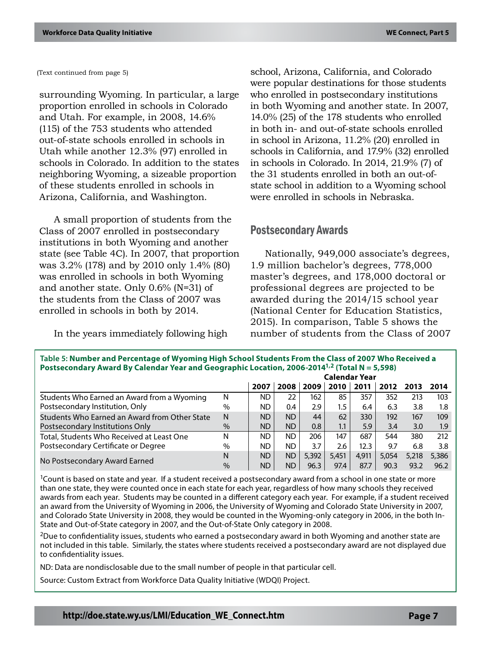(Text continued from page 5)

surrounding Wyoming. In particular, a large proportion enrolled in schools in Colorado and Utah. For example, in 2008, 14.6% (115) of the 753 students who attended out-of-state schools enrolled in schools in Utah while another 12.3% (97) enrolled in schools in Colorado. In addition to the states neighboring Wyoming, a sizeable proportion of these students enrolled in schools in Arizona, California, and Washington.

A small proportion of students from the Class of 2007 enrolled in postsecondary institutions in both Wyoming and another state (see Table 4C). In 2007, that proportion was 3.2% (178) and by 2010 only 1.4% (80) was enrolled in schools in both Wyoming and another state. Only 0.6% (N=31) of the students from the Class of 2007 was enrolled in schools in both by 2014.

In the years immediately following high

school, Arizona, California, and Colorado were popular destinations for those students who enrolled in postsecondary institutions in both Wyoming and another state. In 2007, 14.0% (25) of the 178 students who enrolled in both in- and out-of-state schools enrolled in school in Arizona, 11.2% (20) enrolled in schools in California, and 17.9% (32) enrolled in schools in Colorado. In 2014, 21.9% (7) of the 31 students enrolled in both an out-ofstate school in addition to a Wyoming school were enrolled in schools in Nebraska.

# Postsecondary Awards

**Table 5: Number and Percentage of Wyoming High School Students From the Class of 2007 Who Received a** 

Nationally, 949,000 associate's degrees, 1.9 million bachelor's degrees, 778,000 master's degrees, and 178,000 doctoral or professional degrees are projected to be awarded during the 2014/15 school year (National Center for Education Statistics, 2015). In comparison, Table 5 shows the number of students from the Class of 2007

| Table 5. Number and Percentage of Wyoming High School Students From the Class of 2007 Who Necelved a<br>Postsecondary Award By Calendar Year and Geographic Location, 2006-2014 <sup>1,2</sup> (Total N = 5,598) |      |           |           |       |                      |       |       |       |       |  |  |
|------------------------------------------------------------------------------------------------------------------------------------------------------------------------------------------------------------------|------|-----------|-----------|-------|----------------------|-------|-------|-------|-------|--|--|
|                                                                                                                                                                                                                  |      |           |           |       | <b>Calendar Year</b> |       |       |       |       |  |  |
|                                                                                                                                                                                                                  |      | 2007      | 2008      | 2009  | 2010                 | 2011  | 2012  | 2013  | 2014  |  |  |
| Students Who Earned an Award from a Wyoming                                                                                                                                                                      | N    | ND.       | 22        | 162   | 85                   | 357   | 352   | 213   | 103   |  |  |
| Postsecondary Institution, Only                                                                                                                                                                                  | $\%$ | ND.       | 0.4       | 2.9   | $1.5\,$              | 6.4   | 6.3   | 3.8   | 1.8   |  |  |
| Students Who Earned an Award from Other State                                                                                                                                                                    | N    | ND        | ND.       | 44    | 62                   | 330   | 192   | 167   | 109   |  |  |
| Postsecondary Institutions Only                                                                                                                                                                                  | $\%$ | ND.       | ND.       | 0.8   | 1.1                  | 5.9   | 3.4   | 3.0   | 1.9   |  |  |
| Total, Students Who Received at Least One                                                                                                                                                                        | N    | ND.       | ND.       | 206   | 147                  | 687   | 544   | 380   | 212   |  |  |
| Postsecondary Certificate or Degree                                                                                                                                                                              | $\%$ | ND.       | ND.       | 3.7   | 2.6                  | 12.3  | 9.7   | 6.8   | 3.8   |  |  |
|                                                                                                                                                                                                                  | N    | <b>ND</b> | <b>ND</b> | 5,392 | 5.451                | 4.911 | 5.054 | 5,218 | 5,386 |  |  |
| No Postsecondary Award Earned                                                                                                                                                                                    | $\%$ | <b>ND</b> | ND.       | 96.3  | 97.4                 | 87.7  | 90.3  | 93.2  | 96.2  |  |  |

<sup>1</sup>Count is based on state and year. If a student received a postsecondary award from a school in one state or more than one state, they were counted once in each state for each year, regardless of how many schools they received awards from each year. Students may be counted in a different category each year. For example, if a student received an award from the University of Wyoming in 2006, the University of Wyoming and Colorado State University in 2007, and Colorado State University in 2008, they would be counted in the Wyoming-only category in 2006, in the both In-State and Out-of-State category in 2007, and the Out-of-State Only category in 2008.

 $2$ Due to confidentiality issues, students who earned a postsecondary award in both Wyoming and another state are not included in this table. Similarly, the states where students received a postsecondary award are not displayed due to confidentiality issues.

ND: Data are nondisclosable due to the small number of people in that particular cell.

Source: Custom Extract from Workforce Data Quality Initiative (WDQI) Project.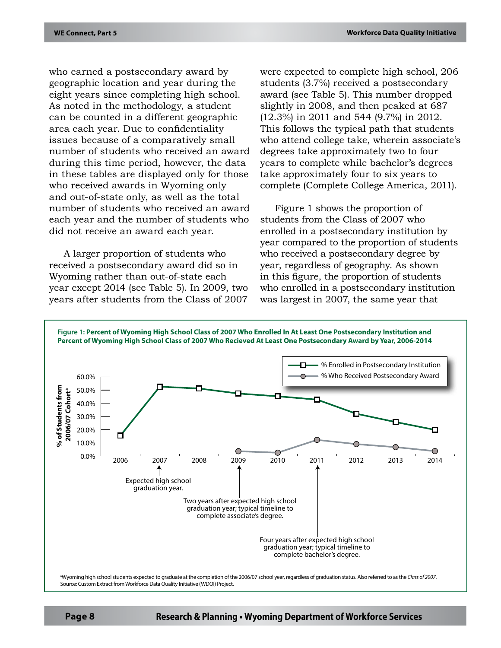who earned a postsecondary award by geographic location and year during the eight years since completing high school. As noted in the methodology, a student can be counted in a different geographic area each year. Due to confidentiality issues because of a comparatively small number of students who received an award during this time period, however, the data in these tables are displayed only for those who received awards in Wyoming only and out-of-state only, as well as the total number of students who received an award each year and the number of students who did not receive an award each year.

A larger proportion of students who received a postsecondary award did so in Wyoming rather than out-of-state each year except 2014 (see Table 5). In 2009, two years after students from the Class of 2007

were expected to complete high school, 206 students (3.7%) received a postsecondary award (see Table 5). This number dropped slightly in 2008, and then peaked at 687 (12.3%) in 2011 and 544 (9.7%) in 2012. This follows the typical path that students who attend college take, wherein associate's degrees take approximately two to four years to complete while bachelor's degrees take approximately four to six years to complete (Complete College America, 2011).

Figure 1 shows the proportion of students from the Class of 2007 who enrolled in a postsecondary institution by year compared to the proportion of students who received a postsecondary degree by year, regardless of geography. As shown in this figure, the proportion of students who enrolled in a postsecondary institution was largest in 2007, the same year that



**Page 8 Research & Planning • Wyoming Department of Workforce Services**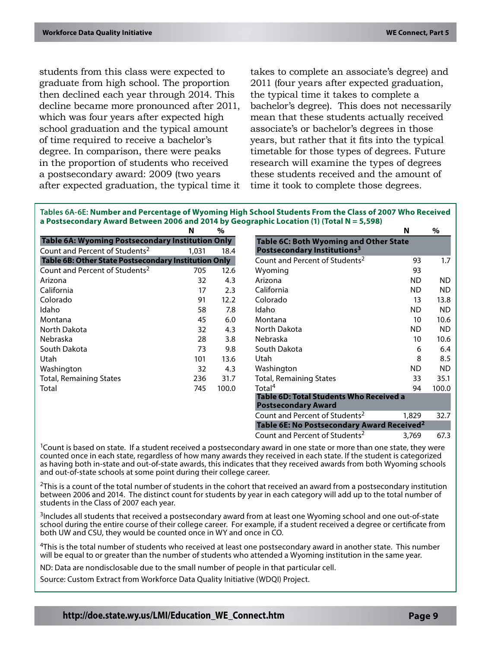students from this class were expected to graduate from high school. The proportion then declined each year through 2014. This decline became more pronounced after 2011, which was four years after expected high school graduation and the typical amount of time required to receive a bachelor's degree. In comparison, there were peaks in the proportion of students who received a postsecondary award: 2009 (two years after expected graduation, the typical time it

takes to complete an associate's degree) and 2011 (four years after expected graduation, the typical time it takes to complete a bachelor's degree). This does not necessarily mean that these students actually received associate's or bachelor's degrees in those years, but rather that it fits into the typical timetable for those types of degrees. Future research will examine the types of degrees these students received and the amount of time it took to complete those degrees.

| Tables 6A-6E: Number and Percentage of Wyoming High School Students From the Class of 2007 Who Received |
|---------------------------------------------------------------------------------------------------------|
| a Postsecondary Award Between 2006 and 2014 by Geographic Location (1) (Total $N = 5,598$ )             |

|                                                         | N     | $\%$  |                                                                       | N         | $\%$      |
|---------------------------------------------------------|-------|-------|-----------------------------------------------------------------------|-----------|-----------|
| <b>Table 6A: Wyoming Postsecondary Institution Only</b> |       |       | <b>Table 6C: Both Wyoming and Other State</b>                         |           |           |
| Count and Percent of Students <sup>2</sup>              | 1,031 | 18.4  | Postsecondary Institutions <sup>3</sup>                               |           |           |
| Table 6B: Other State Postsecondary Institution Only    |       |       | Count and Percent of Students <sup>2</sup>                            | 93        | 1.7       |
| Count and Percent of Students <sup>2</sup>              | 705   | 12.6  | Wyoming                                                               | 93        |           |
| Arizona                                                 | 32    | 4.3   | Arizona                                                               | ND.       | ND.       |
| California                                              | 17    | 2.3   | California                                                            | <b>ND</b> | ND.       |
| Colorado                                                | 91    | 12.2  | Colorado                                                              | 13        | 13.8      |
| Idaho                                                   | 58    | 7.8   | Idaho                                                                 | <b>ND</b> | ND.       |
| Montana                                                 | 45    | 6.0   | Montana                                                               | 10        | 10.6      |
| North Dakota                                            | 32    | 4.3   | North Dakota                                                          | <b>ND</b> | ND.       |
| Nebraska                                                | 28    | 3.8   | Nebraska                                                              | 10        | 10.6      |
| South Dakota                                            | 73    | 9.8   | South Dakota                                                          | 6         | 6.4       |
| Utah                                                    | 101   | 13.6  | Utah                                                                  | 8         | 8.5       |
| Washington                                              | 32    | 4.3   | Washington                                                            | <b>ND</b> | <b>ND</b> |
| <b>Total, Remaining States</b>                          | 236   | 31.7  | <b>Total, Remaining States</b>                                        | 33        | 35.1      |
| Total                                                   | 745   | 100.0 | Total <sup>4</sup>                                                    | 94        | 100.0     |
|                                                         |       |       | Table 6D: Total Students Who Received a<br><b>Postsecondary Award</b> |           |           |
|                                                         |       |       | Count and Percent of Students <sup>2</sup>                            | 1,829     | 32.7      |
|                                                         |       |       | Table 6E: No Postsecondary Award Received <sup>2</sup>                |           |           |
|                                                         |       |       | Count and Percent of Students <sup>2</sup>                            | 3,769     | 67.3      |

 $1$ Count is based on state. If a student received a postsecondary award in one state or more than one state, they were counted once in each state, regardless of how many awards they received in each state. If the student is categorized as having both in-state and out-of-state awards, this indicates that they received awards from both Wyoming schools and out-of-state schools at some point during their college career.

 $2$ This is a count of the total number of students in the cohort that received an award from a postsecondary institution between 2006 and 2014. The distinct count for students by year in each category will add up to the total number of students in the Class of 2007 each year.

<sup>3</sup>Includes all students that received a postsecondary award from at least one Wyoming school and one out-of-state school during the entire course of their college career. For example, if a student received a degree or certificate from both UW and CSU, they would be counted once in WY and once in CO.

<sup>4</sup>This is the total number of students who received at least one postsecondary award in another state. This number will be equal to or greater than the number of students who attended a Wyoming institution in the same year.

ND: Data are nondisclosable due to the small number of people in that particular cell.

Source: Custom Extract from Workforce Data Quality Initiative (WDQI) Project.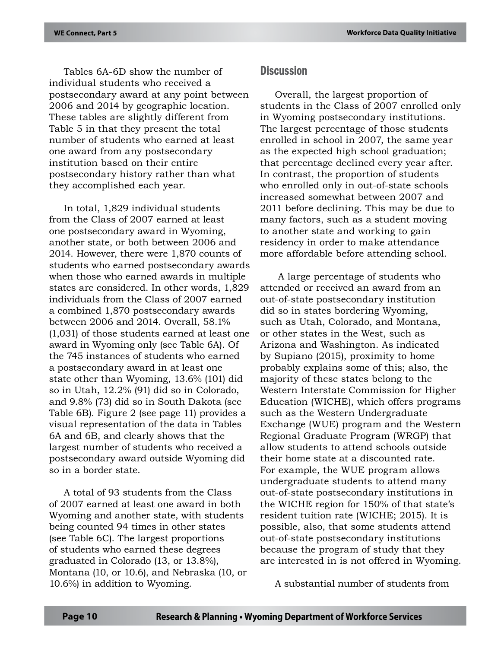Tables 6A-6D show the number of individual students who received a postsecondary award at any point between 2006 and 2014 by geographic location. These tables are slightly different from Table 5 in that they present the total number of students who earned at least one award from any postsecondary institution based on their entire postsecondary history rather than what they accomplished each year.

In total, 1,829 individual students from the Class of 2007 earned at least one postsecondary award in Wyoming, another state, or both between 2006 and 2014. However, there were 1,870 counts of students who earned postsecondary awards when those who earned awards in multiple states are considered. In other words, 1,829 individuals from the Class of 2007 earned a combined 1,870 postsecondary awards between 2006 and 2014. Overall, 58.1% (1,031) of those students earned at least one award in Wyoming only (see Table 6A). Of the 745 instances of students who earned a postsecondary award in at least one state other than Wyoming, 13.6% (101) did so in Utah, 12.2% (91) did so in Colorado, and 9.8% (73) did so in South Dakota (see Table 6B). Figure 2 (see page 11) provides a visual representation of the data in Tables 6A and 6B, and clearly shows that the largest number of students who received a postsecondary award outside Wyoming did so in a border state.

A total of 93 students from the Class of 2007 earned at least one award in both Wyoming and another state, with students being counted 94 times in other states (see Table 6C). The largest proportions of students who earned these degrees graduated in Colorado (13, or 13.8%), Montana (10, or 10.6), and Nebraska (10, or 10.6%) in addition to Wyoming.

## **Discussion**

Overall, the largest proportion of students in the Class of 2007 enrolled only in Wyoming postsecondary institutions. The largest percentage of those students enrolled in school in 2007, the same year as the expected high school graduation; that percentage declined every year after. In contrast, the proportion of students who enrolled only in out-of-state schools increased somewhat between 2007 and 2011 before declining. This may be due to many factors, such as a student moving to another state and working to gain residency in order to make attendance more affordable before attending school.

 A large percentage of students who attended or received an award from an out-of-state postsecondary institution did so in states bordering Wyoming, such as Utah, Colorado, and Montana, or other states in the West, such as Arizona and Washington. As indicated by Supiano (2015), proximity to home probably explains some of this; also, the majority of these states belong to the Western Interstate Commission for Higher Education (WICHE), which offers programs such as the Western Undergraduate Exchange (WUE) program and the Western Regional Graduate Program (WRGP) that allow students to attend schools outside their home state at a discounted rate. For example, the WUE program allows undergraduate students to attend many out-of-state postsecondary institutions in the WICHE region for 150% of that state's resident tuition rate (WICHE; 2015). It is possible, also, that some students attend out-of-state postsecondary institutions because the program of study that they are interested in is not offered in Wyoming.

A substantial number of students from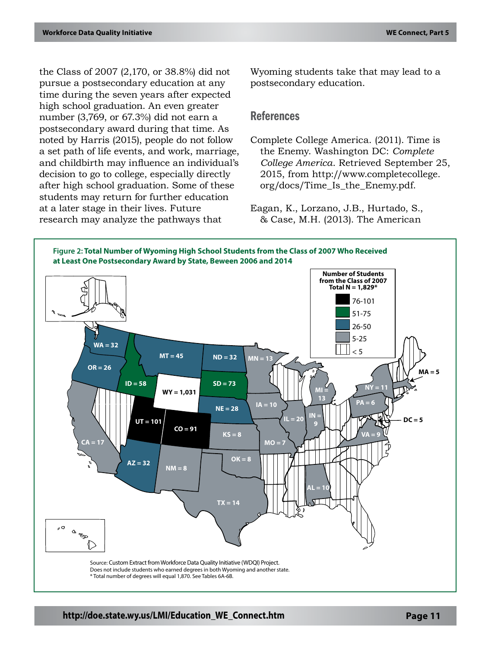the Class of 2007 (2,170, or 38.8%) did not pursue a postsecondary education at any time during the seven years after expected high school graduation. An even greater number (3,769, or 67.3%) did not earn a postsecondary award during that time. As noted by Harris (2015), people do not follow a set path of life events, and work, marriage, and childbirth may influence an individual's decision to go to college, especially directly after high school graduation. Some of these students may return for further education at a later stage in their lives. Future research may analyze the pathways that

Wyoming students take that may lead to a postsecondary education.

### References

Complete College America. (2011). Time is the Enemy. Washington DC: *Complete College America*. Retrieved September 25, 2015, from http://www.completecollege. org/docs/Time\_Is\_the\_Enemy.pdf.

Eagan, K., Lorzano, J.B., Hurtado, S., & Case, M.H. (2013). The American